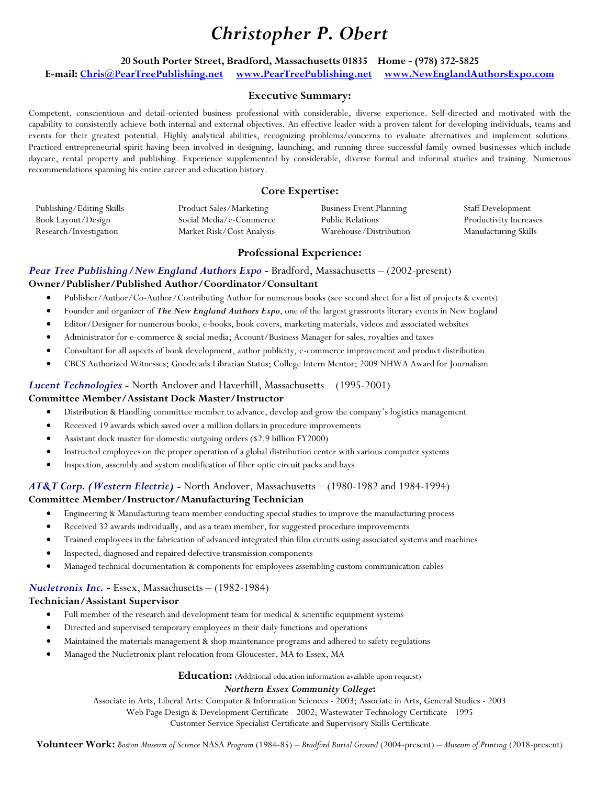# *Christopher P. Obert*

## **20 South Porter Street, Bradford, Massachusetts 01835 Home - (978) 372-5825 E-mail[: Chris@PearTreePublishing.net](mailto:Chris@PearTreePublishing.net) [www.PearTreePublishing.net](http://www.peartreepublishing.net/) [www.NewEnglandAuthorsExpo.com](http://www.newenglandauthorsexpo.com/)**

## **Executive Summary:**

Competent, conscientious and detail-oriented business professional with considerable, diverse experience. Self-directed and motivated with the capability to consistently achieve both internal and external objectives. An effective leader with a proven talent for developing individuals, teams and events for their greatest potential. Highly analytical abilities, recognizing problems/concerns to evaluate alternatives and implement solutions. Practiced entrepreneurial spirit having been involved in designing, launching, and running three successful family owned businesses which include daycare, rental property and publishing. Experience supplemented by considerable, diverse formal and informal studies and training. Numerous recommendations spanning his entire career and education history.

## **Core Expertise:**

| Publishing/Editing Skills | Product Sales/Marketing   | <b>Business Event Planning</b> | <b>Staff Development</b> |
|---------------------------|---------------------------|--------------------------------|--------------------------|
| Book Layout/Design        | Social Media/e-Commerce   | <b>Public Relations</b>        | Productivity Increases   |
| Research/Investigation    | Market Risk/Cost Analysis | Warehouse/Distribution         | Manufacturing Skills     |

## **Professional Experience:**

## *Pear Tree Publishing/New England Authors Expo - Bradford, Massachusetts – (2002-present)* **Owner/Publisher/Published Author/Coordinator/Consultant**

- Publisher/Author/Co-Author/Contributing Author for numerous books (see second sheet for a list of projects & events)
- Founder and organizer of *The New England Authors Expo*, one of the largest grassroots literary events in New England
- Editor/Designer for numerous books, e-books, book covers, marketing materials, videos and associated websites
- Administrator for e-commerce & social media; Account/Business Manager for sales, royalties and taxes
- Consultant for all aspects of book development, author publicity, e-commerce improvement and product distribution
- CBCS Authorized Witnesses; Goodreads Librarian Status; College Intern Mentor; 2009 NHWA Award for Journalism

## *Lucent Technologies -* North Andover and Haverhill, Massachusetts – (1995-2001)

## **Committee Member/Assistant Dock Master/Instructor**

- Distribution & Handling committee member to advance, develop and grow the company's logistics management
- Received 19 awards which saved over a million dollars in procedure improvements
- Assistant dock master for domestic outgoing orders (\$2.9 billion FY2000)
- Instructed employees on the proper operation of a global distribution center with various computer systems
- Inspection, assembly and system modification of fiber optic circuit packs and bays

## *AT&T Corp. (Western Electric) -* North Andover, Massachusetts – (1980-1982 and 1984-1994) **Committee Member/Instructor/Manufacturing Technician**

- Engineering & Manufacturing team member conducting special studies to improve the manufacturing process
- Received 32 awards individually, and as a team member, for suggested procedure improvements
- Trained employees in the fabrication of advanced integrated thin film circuits using associated systems and machines
- Inspected, diagnosed and repaired defective transmission components
- Managed technical documentation & components for employees assembling custom communication cables

## *Nucletronix Inc. -* Essex, Massachusetts – (1982-1984)

## **Technician/Assistant Supervisor**

- Full member of the research and development team for medical & scientific equipment systems
- Directed and supervised temporary employees in their daily functions and operations
- Maintained the materials management & shop maintenance programs and adhered to safety regulations
- Managed the Nucletronix plant relocation from Gloucester, MA to Essex, MA

**Education:** (Additional education information available upon request)

## *Northern Essex Community College***:**

Associate in Arts, Liberal Arts: Computer & Information Sciences - 2003; Associate in Arts, General Studies - 2003

Web Page Design & Development Certificate - 2002; Wastewater Technology Certificate - 1995 Customer Service Specialist Certificate and Supervisory Skills Certificate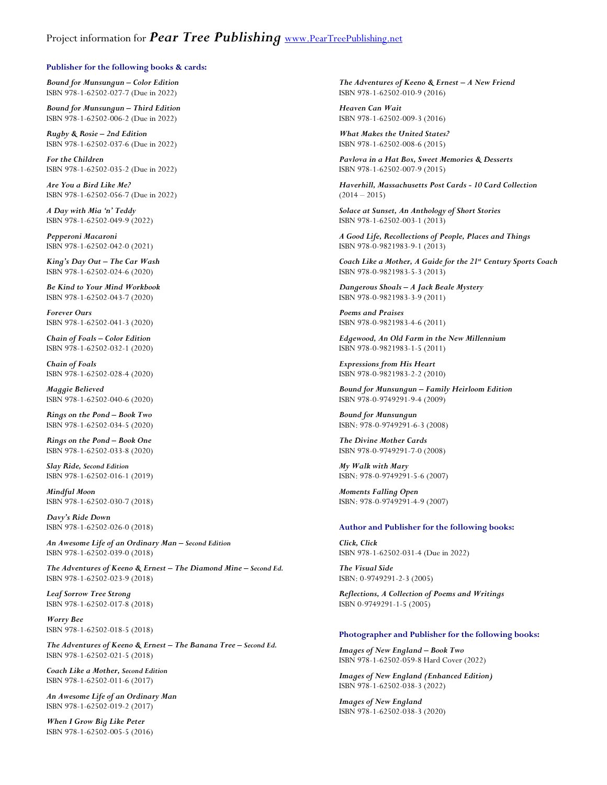#### **Publisher for the following books & cards:**

*Bound for Munsungun – Color Edition* ISBN 978-1-62502-027-7 (Due in 2022)

*Bound for Munsungun – Third Edition* ISBN 978-1-62502-006-2 (Due in 2022)

*Rugby & Rosie – 2nd Edition*  ISBN 978-1-62502-037-6 (Due in 2022)

*For the Children* ISBN 978-1-62502-035-2 (Due in 2022)

*Are You a Bird Like Me?* ISBN 978-1-62502-056-7 (Due in 2022)

*A Day with Mia 'n' Teddy* ISBN 978-1-62502-049-9 (2022)

*Pepperoni Macaroni* ISBN 978-1-62502-042-0 (2021)

*King's Day Out – The Car Wash* ISBN 978-1-62502-024-6 (2020)

*Be Kind to Your Mind Workbook* ISBN 978-1-62502-043-7 (2020)

*Forever Ours* ISBN 978-1-62502-041-3 (2020)

*Chain of Foals – Color Edition* ISBN 978-1-62502-032-1 (2020)

*Chain of Foals* ISBN 978-1-62502-028-4 (2020)

*Maggie Believed* ISBN 978-1-62502-040-6 (2020)

*Rings on the Pond – Book Two* ISBN 978-1-62502-034-5 (2020)

*Rings on the Pond – Book One* ISBN 978-1-62502-033-8 (2020)

*Slay Ride, Second Edition* ISBN 978-1-62502-016-1 (2019)

*Mindful Moon* ISBN 978-1-62502-030-7 (2018)

*Davy's Ride Down* ISBN 978-1-62502-026-0 (2018)

*An Awesome Life of an Ordinary Man – Second Edition* ISBN 978-1-62502-039-0 (2018)

*The Adventures of Keeno & Ernest – The Diamond Mine – Second Ed.* ISBN 978-1-62502-023-9 (2018)

*Leaf Sorrow Tree Strong* ISBN 978-1-62502-017-8 (2018)

*Worry Bee* ISBN 978-1-62502-018-5 (2018)

*The Adventures of Keeno & Ernest – The Banana Tree – Second Ed.* ISBN 978-1-62502-021-5 (2018)

*Coach Like a Mother, Second Edition* ISBN 978-1-62502-011-6 (2017)

*An Awesome Life of an Ordinary Man* ISBN 978-1-62502-019-2 (2017)

*When I Grow Big Like Peter*  ISBN 978-1-62502-005-5 (2016)

*The Adventures of Keeno & Ernest – A New Friend* ISBN 978-1-62502-010-9 (2016)

*Heaven Can Wait*  ISBN 978-1-62502-009-3 (2016)

*What Makes the United States?* ISBN 978-1-62502-008-6 (2015)

*Pavlova in a Hat Box, Sweet Memories & Desserts*  ISBN 978-1-62502-007-9 (2015)

*Haverhill, Massachusetts Post Cards - 10 Card Collection*   $(2014 - 2015)$ 

*Solace at Sunset, An Anthology of Short Stories* ISBN 978-1-62502-003-1 (2013)

*A Good Life, Recollections of People, Places and Things* ISBN 978-0-9821983-9-1 (2013)

*Coach Like a Mother, A Guide for the 21st Century Sports Coach* ISBN 978-0-9821983-5-3 (2013)

*Dangerous Shoals – A Jack Beale Mystery* ISBN 978-0-9821983-3-9 (2011)

*Poems and Praises* ISBN 978-0-9821983-4-6 (2011)

*Edgewood, An Old Farm in the New Millennium* ISBN 978-0-9821983-1-5 (2011)

*Expressions from His Heart* ISBN 978-0-9821983-2-2 (2010)

*Bound for Munsungun – Family Heirloom Edition* ISBN 978-0-9749291-9-4 (2009)

*Bound for Munsungun* ISBN: 978-0-9749291-6-3 (2008)

*The Divine Mother Cards* ISBN 978-0-9749291-7-0 (2008)

*My Walk with Mary* ISBN: 978-0-9749291-5-6 (2007)

*Moments Falling Open* ISBN: 978-0-9749291-4-9 (2007)

#### **Author and Publisher for the following books:**

*Click, Click* ISBN 978-1-62502-031-4 (Due in 2022)

*The Visual Side* ISBN: 0-9749291-2-3 (2005)

*Reflections, A Collection of Poems and Writings* ISBN 0-9749291-1-5 (2005)

#### **Photographer and Publisher for the following books:**

*Images of New England – Book Two* ISBN 978-1-62502-059-8 Hard Cover (2022)

*Images of New England (Enhanced Edition)* ISBN 978-1-62502-038-3 (2022)

*Images of New England* ISBN 978-1-62502-038-3 (2020)